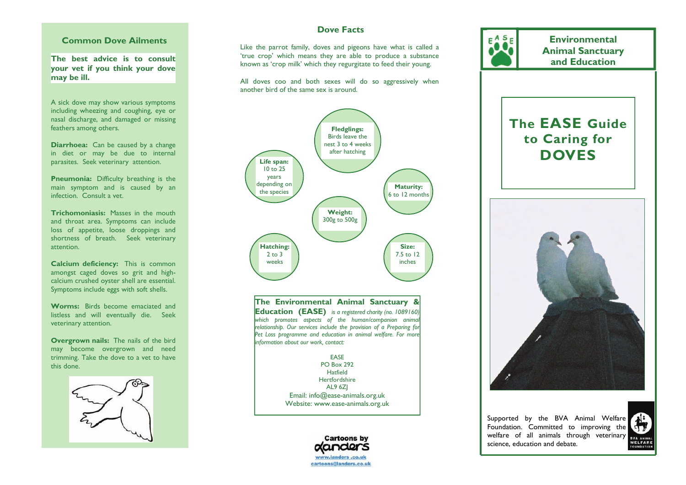## **Common Dove Ailments**

**The best advice is to consult your vet if you think your dove may be ill.** 

A sick dove may show various symptoms including wheezing and coughing, eye or nasal discharge, and damaged or missing feathers among others.

**Diarrhoea:** Can be caused by a change in diet or may be due to internal parasites. Seek veterinary attention.

**Pneumonia:** Difficulty breathing is the main symptom and is caused by an infection. Consult a vet.

**Trichomoniasis:** Masses in the mouth and throat area. Symptoms can include loss of appetite, loose droppings and shortness of breath. Seek veterinary attention.

**Calcium deficiency:** This is common amongst caged doves so grit and highcalcium crushed oyster shell are essential. Symptoms include eggs with soft shells.

**Worms:** Birds become emaciated and listless and will eventually die. Seek veterinary attention.

**Overgrown nails:** The nails of the bird may become overgrown and need trimming. Take the dove to a vet to have this done.



# **Dove Facts**

Like the parrot family, doves and pigeons have what is called a 'true crop' which means they are able to produce a substance known as 'crop milk' which they regurgitate to feed their young.

All doves coo and both sexes will do so aggressively when another bird of the same sex is around.



**The Environmental Animal Sanctuary & Education (EASE)** *is a registered charity (no. 1089160) which promotes aspects of the human/companion animal relationship. Our services include the provision of a Preparing for*  Pet Loss programme and education in animal welfare. For more *information about our work, contact:* 

> EASE PO Box 292 Hatfield **Hertfordshire** AL9 6ZJ Email: info@ease-animals.org.uk Website: www.ease-animals.org.uk



**The EASE Guide to Caring for DOVES Animal Sanctuary and Education** 

**Environmental** 

Supported by the BVA Animal Welfare Foundation. Committed to improving the welfare of all animals through veterinary science, education and debate.